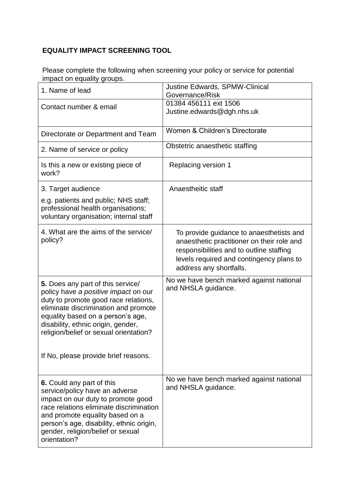## **EQUALITY IMPACT SCREENING TOOL**

Please complete the following when screening your policy or service for potential impact on equality groups.

| 1. Name of lead                                                                                                                                                                                                                                                                                                               | <b>Justine Edwards, SPMW-Clinical</b><br>Governance/Risk                                                                                                                                                  |
|-------------------------------------------------------------------------------------------------------------------------------------------------------------------------------------------------------------------------------------------------------------------------------------------------------------------------------|-----------------------------------------------------------------------------------------------------------------------------------------------------------------------------------------------------------|
| Contact number & email                                                                                                                                                                                                                                                                                                        | 01384 456111 ext 1506<br>Justine.edwards@dgh.nhs.uk                                                                                                                                                       |
| Directorate or Department and Team                                                                                                                                                                                                                                                                                            | Women & Children's Directorate                                                                                                                                                                            |
| 2. Name of service or policy                                                                                                                                                                                                                                                                                                  | Obstetric anaesthetic staffing                                                                                                                                                                            |
| Is this a new or existing piece of<br>work?                                                                                                                                                                                                                                                                                   | Replacing version 1                                                                                                                                                                                       |
| 3. Target audience<br>e.g. patients and public; NHS staff;<br>professional health organisations;                                                                                                                                                                                                                              | Anaestheitic staff                                                                                                                                                                                        |
| voluntary organisation; internal staff                                                                                                                                                                                                                                                                                        |                                                                                                                                                                                                           |
| 4. What are the aims of the service/<br>policy?                                                                                                                                                                                                                                                                               | To provide guidance to anaesthetists and<br>anaesthetic practitioner on their role and<br>responsibilities and to outline staffing<br>levels required and contingency plans to<br>address any shortfalls. |
| <b>5.</b> Does any part of this service/<br>policy have a positive impact on our<br>duty to promote good race relations,<br>eliminate discrimination and promote<br>equality based on a person's age,<br>disability, ethnic origin, gender,<br>religion/belief or sexual orientation?<br>If No, please provide brief reasons. | No we have bench marked against national<br>and NHSLA guidance.                                                                                                                                           |
| <b>6.</b> Could any part of this<br>service/policy have an adverse<br>impact on our duty to promote good<br>race relations eliminate discrimination<br>and promote equality based on a<br>person's age, disability, ethnic origin,<br>gender, religion/belief or sexual<br>orientation?                                       | No we have bench marked against national<br>and NHSLA guidance.                                                                                                                                           |